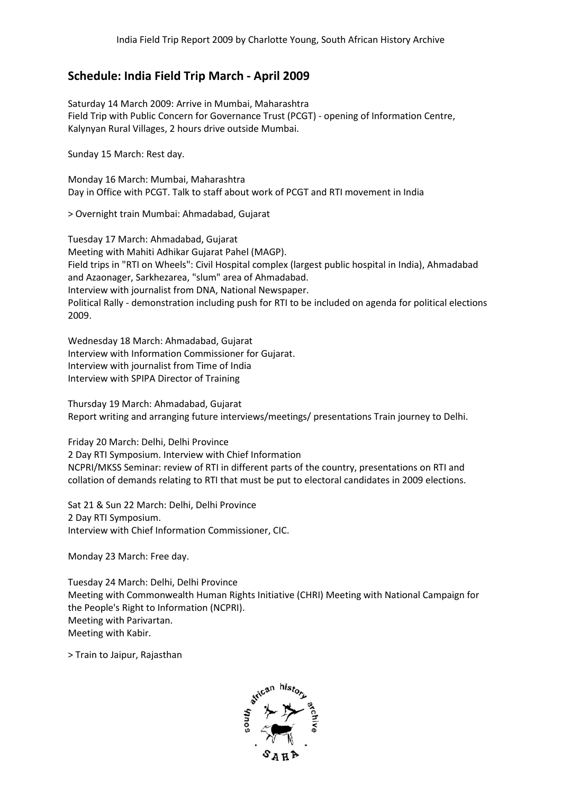## **Schedule: India Field Trip March - April 2009**

Saturday 14 March 2009: Arrive in Mumbai, Maharashtra Field Trip with Public Concern for Governance Trust (PCGT) - opening of Information Centre, Kalynyan Rural Villages, 2 hours drive outside Mumbai.

Sunday 15 March: Rest day.

Monday 16 March: Mumbai, Maharashtra Day in Office with PCGT. Talk to staff about work of PCGT and RTI movement in India i, Maharashtra<br>Ik to staff about work<br>Ahmadabad, Gujarat

> Overnight train Mumbai: Ahmadabad

Tuesday 17 March: Ahmadabad, Gujarat Meeting with Mahiti Adhikar Gujarat Pahel (MAGP). Field trips in "RTI on Wheels": Civil Hospital complex (largest public hospital in India), and Azaonager, Sarkhezarea, "slum" area of Interview with journalist from DNA, National Newspaper. Political Rally - demonstration including push for RTI to be included on agenda for political elections 2009. , Gujarat<br>ıjarat Pahel (MAGP).<br>ivil Hospital complex (larg<br>lum" area of Ahmadabad. Ahmadabad

Wednesday 18 March: Ahmadabad, Gujarat Interview with Information Commissioner for Gujarat. Interview with journalist from Time of India Interview with SPIPA Director of Training

Thursday 19 March: Ahmadabad Ahmadabad, Gujarat Report writing and arranging future interviews/meetings/ presentations Train journey to Delhi.

Friday 20 March: Delhi, Delhi Province 2 Day RTI Symposium. Interview with Chief Information NCPRI/MKSS Seminar: review of RTI in different parts of the country, presentations on RTI and collation of demands relating to RTI that must be put to electoral candidates in 2009 elections.

Sat 21 & Sun 22 March: Delhi, Delhi Province 2 Day RTI Symposium. Interview with Chief Information Commissioner, CIC.

Monday 23 March: Free day.

Tuesday 24 March: Delhi, Delhi Province Meeting with Commonwealth Human Rights Initiative (CHRI) Meeting with National Campaign for the People's Right to Information (NCPRI). Meeting with Parivartan. Meeting with Kabir.

> Train to Jaipur, Rajasthan